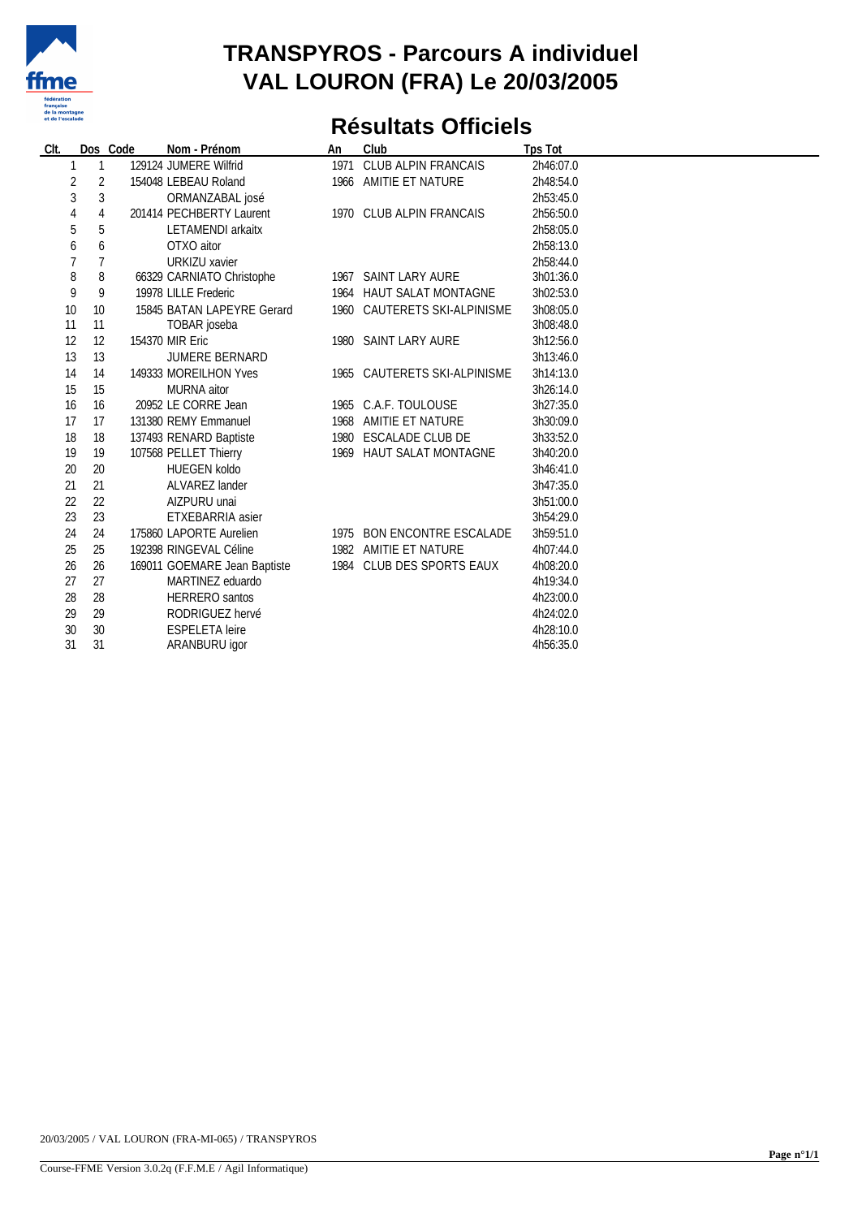

## **TRANSPYROS - Parcours A individuel VAL LOURON (FRA) Le 20/03/2005**

## **Résultats Officiels**

| CIt. |    | Dos Code | Nom - Prénom                 | An | Club                         | <b>Tps Tot</b> |
|------|----|----------|------------------------------|----|------------------------------|----------------|
|      | 1  |          | 129124 JUMERE Wilfrid        |    | 1971 CLUB ALPIN FRANCAIS     | 2h46:07.0      |
| 2    | 2  |          | 154048 LEBEAU Roland         |    | 1966 AMITIE ET NATURE        | 2h48:54.0      |
| 3    | 3  |          | ORMANZABAL josé              |    |                              | 2h53:45.0      |
| 4    | 4  |          | 201414 PECHBERTY Laurent     |    | 1970 CLUB ALPIN FRANCAIS     | 2h56:50.0      |
| 5    | 5  |          | <b>LETAMENDI</b> arkaitx     |    |                              | 2h58:05.0      |
| 6    | 6  |          | OTXO aitor                   |    |                              | 2h58:13.0      |
|      | 7  |          | <b>URKIZU xavier</b>         |    |                              | 2h58:44.0      |
| 8    | 8  |          | 66329 CARNIATO Christophe    |    | 1967 SAINT LARY AURE         | 3h01:36.0      |
| 9    | 9  |          | 19978 LILLE Frederic         |    | 1964 HAUT SALAT MONTAGNE     | 3h02:53.0      |
| 10   | 10 |          | 15845 BATAN LAPEYRE Gerard   |    | 1960 CAUTERETS SKI-ALPINISME | 3h08:05.0      |
| 11   | 11 |          | TOBAR joseba                 |    |                              | 3h08:48.0      |
| 12   | 12 |          | 154370 MIR Eric              |    | 1980 SAINT LARY AURE         | 3h12:56.0      |
| 13   | 13 |          | <b>JUMERE BERNARD</b>        |    |                              | 3h13:46.0      |
| 14   | 14 |          | 149333 MOREILHON Yves        |    | 1965 CAUTERETS SKI-ALPINISME | 3h14:13.0      |
| 15   | 15 |          | <b>MURNA</b> aitor           |    |                              | 3h26:14.0      |
| 16   | 16 |          | 20952 LE CORRE Jean          |    | 1965 C.A.F. TOULOUSE         | 3h27:35.0      |
| 17   | 17 |          | 131380 REMY Emmanuel         |    | 1968 AMITIE ET NATURE        | 3h30:09.0      |
| 18   | 18 |          | 137493 RENARD Baptiste       |    | 1980 ESCALADE CLUB DE        | 3h33:52.0      |
| 19   | 19 |          | 107568 PELLET Thierry        |    | 1969 HAUT SALAT MONTAGNE     | 3h40:20.0      |
| 20   | 20 |          | <b>HUEGEN koldo</b>          |    |                              | 3h46:41.0      |
| 21   | 21 |          | ALVAREZ lander               |    |                              | 3h47:35.0      |
| 22   | 22 |          | AIZPURU unai                 |    |                              | 3h51:00.0      |
| 23   | 23 |          | ETXEBARRIA asier             |    |                              | 3h54:29.0      |
| 24   | 24 |          | 175860 LAPORTE Aurelien      |    | 1975 BON ENCONTRE ESCALADE   | 3h59:51.0      |
| 25   | 25 |          | 192398 RINGEVAL Céline       |    | 1982 AMITIE ET NATURE        | 4h07:44.0      |
| 26   | 26 |          | 169011 GOEMARE Jean Baptiste |    | 1984 CLUB DES SPORTS EAUX    | 4h08:20.0      |
| 27   | 27 |          | MARTINEZ eduardo             |    |                              | 4h19:34.0      |
| 28   | 28 |          | <b>HERRERO</b> santos        |    |                              | 4h23:00.0      |
| 29   | 29 |          | RODRIGUEZ hervé              |    |                              | 4h24:02.0      |
| 30   | 30 |          | <b>ESPELETA</b> leire        |    |                              | 4h28:10.0      |
| 31   | 31 |          | ARANBURU igor                |    |                              | 4h56:35.0      |